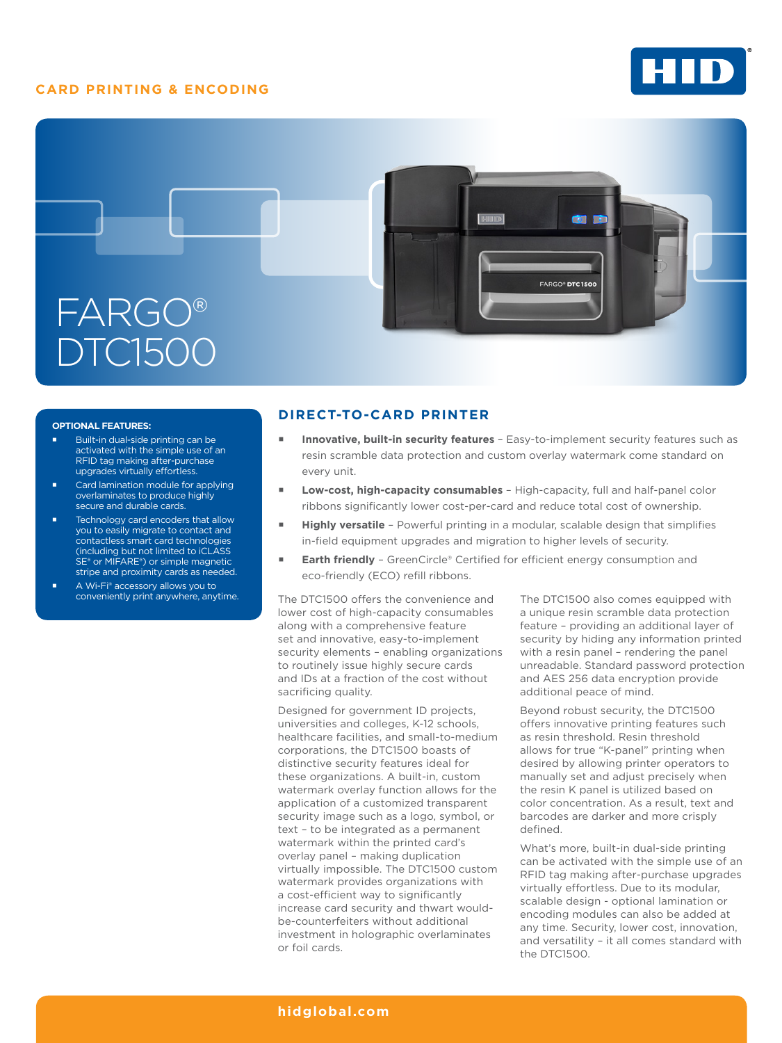# **CARD PRINTING & ENCODING**





#### **OPTIONAL FEATURES:**

- Built-in dual-side printing can be activated with the simple use of an RFID tag making after-purchase upgrades virtually effortless.
- Card lamination module for applying overlaminates to produce highly secure and durable cards.
- Technology card encoders that allow you to easily migrate to contact and contactless smart card technologies (including but not limited to iCLASS SE® or MIFARE®) or simple magnetic stripe and proximity cards as needed.
- A Wi-Fi® accessory allows you to conveniently print anywhere, anytime.

## **DIRECT-TO-CARD PRINTER**

- **Innovative, built-in security features**  Easy-to-implement security features such as resin scramble data protection and custom overlay watermark come standard on every unit.
- **Low-cost, high-capacity consumables**  High-capacity, full and half-panel color ribbons significantly lower cost-per-card and reduce total cost of ownership.
- **Highly versatile**  Powerful printing in a modular, scalable design that simplifies in-field equipment upgrades and migration to higher levels of security.
- **Earth friendly**  GreenCircle® Certified for efficient energy consumption and eco-friendly (ECO) refill ribbons.

The DTC1500 offers the convenience and lower cost of high-capacity consumables along with a comprehensive feature set and innovative, easy-to-implement security elements – enabling organizations to routinely issue highly secure cards and IDs at a fraction of the cost without sacrificing quality.

Designed for government ID projects, universities and colleges, K-12 schools, healthcare facilities, and small-to-medium corporations, the DTC1500 boasts of distinctive security features ideal for these organizations. A built-in, custom watermark overlay function allows for the application of a customized transparent security image such as a logo, symbol, or text – to be integrated as a permanent watermark within the printed card's overlay panel – making duplication virtually impossible. The DTC1500 custom watermark provides organizations with a cost-efficient way to significantly increase card security and thwart wouldbe-counterfeiters without additional investment in holographic overlaminates or foil cards.

The DTC1500 also comes equipped with a unique resin scramble data protection feature – providing an additional layer of security by hiding any information printed with a resin panel – rendering the panel unreadable. Standard password protection and AES 256 data encryption provide additional peace of mind.

Beyond robust security, the DTC1500 offers innovative printing features such as resin threshold. Resin threshold allows for true "K-panel" printing when desired by allowing printer operators to manually set and adjust precisely when the resin K panel is utilized based on color concentration. As a result, text and barcodes are darker and more crisply defined.

What's more, built-in dual-side printing can be activated with the simple use of an RFID tag making after-purchase upgrades virtually effortless. Due to its modular, scalable design - optional lamination or encoding modules can also be added at any time. Security, lower cost, innovation, and versatility – it all comes standard with the DTC1500.

## **[hidglobal.com](http://www.hidglobal.com)**